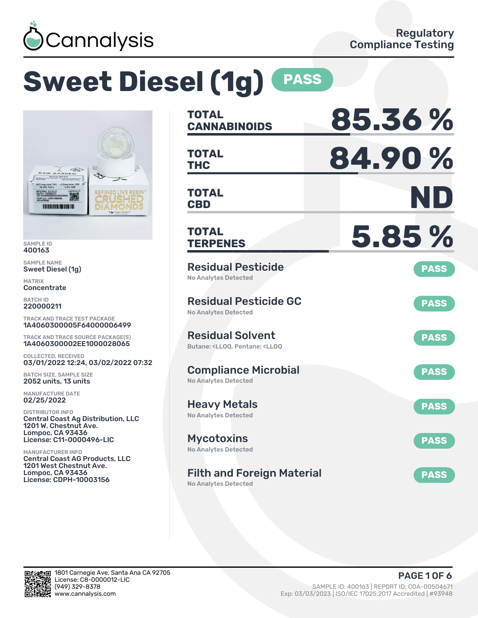

# **Sweet Diesel (1g) PASS**



SAMPLE ID 400163

SAMPLE NAME Sweet Diesel (1g)

MATRIX **Concentrate** 

BATCH ID 220000211

TRACK AND TRACE TEST PACKAGE 1A4060300005F64000006499

TRACK AND TRACE SOURCE PACKAGE(S) 1A4060300002EE1000028065

COLLECTED, RECEIVED 03/01/2022 12:24, 03/02/2022 07:32

BATCH SIZE, SAMPLE SIZE 2052 units, 13 units

MANUFACTURE DATE 02/25/2022

DISTRIBUTOR INFO Central Coast Ag Distribution, LLC 1201 W. Chestnut Ave. Lompoc, CA 93436 License: C11-0000496-LIC

MANUFACTURER INFO Central Coast AG Products, LLC 1201 West Chestnut Ave. Lompoc, CA 93436 License: CDPH-10003156

| <b>TOTAL</b><br><b>CANNABINOIDS</b>                                                                | 85.36%      |
|----------------------------------------------------------------------------------------------------|-------------|
| <b>TOTAL</b><br>THC                                                                                | 84.90%      |
| <b>TOTAL</b><br><b>CBD</b>                                                                         | ND          |
| TOTAL<br><b>TERPENES</b>                                                                           | 5.85%       |
| <b>Residual Pesticide</b><br><b>No Analytes Detected</b>                                           | <b>PASS</b> |
| <b>Residual Pesticide GC</b><br><b>No Analytes Detected</b>                                        | <b>PASS</b> |
| <b>Residual Solvent</b><br>Butane: <ll00. <ll00<="" pentane:="" td=""><td><b>PASS</b></td></ll00.> | <b>PASS</b> |
| <b>Compliance Microbial</b><br><b>No Analytes Detected</b>                                         | <b>PASS</b> |
| <b>Heavy Metals</b><br><b>No Analytes Detected</b>                                                 | <b>PASS</b> |
| <b>Mycotoxins</b><br>No Analytes Detected                                                          | <b>PASS</b> |
| <b>Filth and Foreign Material</b>                                                                  | <b>PASS</b> |

No Analytes Detected

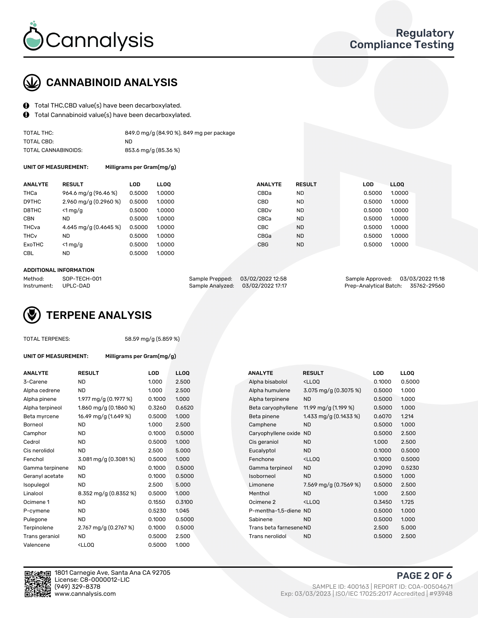

## CANNABINOID ANALYSIS

- Total THC,CBD value(s) have been decarboxylated.
- Total Cannabinoid value(s) have been decarboxylated.  $\mathbf{\Theta}$

| TOTAL THC:          | 849.0 mg/g (84.90 %), 849 mg per package |
|---------------------|------------------------------------------|
| TOTAL CBD:          | ND.                                      |
| TOTAL CANNABINOIDS: | 853.6 mg/g (85.36 %)                     |

UNIT OF MEASUREMENT: Milligrams per Gram(mg/g)

| <b>ANALYTE</b>         | <b>RESULT</b>           | <b>LOD</b> | <b>LLOO</b> | <b>ANALYTE</b>   | <b>RESULT</b> | <b>LOD</b> | <b>LLOO</b> |
|------------------------|-------------------------|------------|-------------|------------------|---------------|------------|-------------|
| THCa                   | 964.6 mg/g (96.46 %)    | 0.5000     | 1.0000      | CBDa             | ND            | 0.5000     | 1.0000      |
| D9THC                  | 2.960 mg/g $(0.2960\%)$ | 0.5000     | 1.0000      | <b>CBD</b>       | <b>ND</b>     | 0.5000     | 1.0000      |
| D8THC                  | $\leq 1$ mg/g           | 0.5000     | 1.0000      | CBD <sub>v</sub> | <b>ND</b>     | 0.5000     | 1.0000      |
| <b>CBN</b>             | <b>ND</b>               | 0.5000     | 1.0000      | CBCa             | <b>ND</b>     | 0.5000     | 1.0000      |
| THCva                  | 4.645 mg/g (0.4645 %)   | 0.5000     | 1.0000      | CBC              | <b>ND</b>     | 0.5000     | 1.0000      |
| <b>THC<sub>v</sub></b> | <b>ND</b>               | 0.5000     | 1.0000      | CBGa             | <b>ND</b>     | 0.5000     | 1.0000      |
| ExoTHC                 | $<$ 1 mg/g              | 0.5000     | 1.0000      | <b>CBG</b>       | <b>ND</b>     | 0.5000     | 1.0000      |
| <b>CBL</b>             | <b>ND</b>               | 0.5000     | 1.0000      |                  |               |            |             |
|                        |                         |            |             |                  |               |            |             |

#### ADDITIONAL INFORMATION

| Method:              | SOP-TECH-001 | Sample Prepped: 03/02/2022 12:58  | Sample Approved: 03/03/2022 11:18  |  |
|----------------------|--------------|-----------------------------------|------------------------------------|--|
| Instrument: UPLC-DAD |              | Sample Analyzed: 03/02/2022 17:17 | Prep-Analytical Batch: 35762-29560 |  |

## TERPENE ANALYSIS

|  | TOTAL TERPENES: |
|--|-----------------|
|--|-----------------|

58.59 mg/g (5.859 %)

| UNIT OF MEASUREMENT: |  |
|----------------------|--|
|                      |  |

Milligrams per Gram(mg/g)

| <b>ANALYTE</b>  | <b>RESULT</b>                                                                                   | <b>LOD</b> | <b>LLOQ</b> |  | <b>ANALYTE</b>          | <b>RESULT</b>                                      | LOD    | <b>LLOO</b> |
|-----------------|-------------------------------------------------------------------------------------------------|------------|-------------|--|-------------------------|----------------------------------------------------|--------|-------------|
| 3-Carene        | <b>ND</b>                                                                                       | 1.000      | 2.500       |  | Alpha bisabolol         | <ll0q< td=""><td>0.1000</td><td>0.500</td></ll0q<> | 0.1000 | 0.500       |
| Alpha cedrene   | <b>ND</b>                                                                                       | 1.000      | 2.500       |  | Alpha humulene          | 3.075 mg/g (0.3075 %)                              | 0.5000 | 1.000       |
| Alpha pinene    | 1.977 mg/g (0.1977 %)                                                                           | 0.1000     | 1.000       |  | Alpha terpinene         | <b>ND</b>                                          | 0.5000 | 1.000       |
| Alpha terpineol | 1.860 mg/g $(0.1860\%)$                                                                         | 0.3260     | 0.6520      |  | Beta caryophyllene      | 11.99 mg/g (1.199 %)                               | 0.5000 | 1.000       |
| Beta myrcene    | 16.49 mg/g (1.649 %)                                                                            | 0.5000     | 1.000       |  | Beta pinene             | 1.433 mg/g $(0.1433\%)$                            | 0.6070 | 1.214       |
| Borneol         | <b>ND</b>                                                                                       | 1.000      | 2.500       |  | Camphene                | <b>ND</b>                                          | 0.5000 | 1.000       |
| Camphor         | <b>ND</b>                                                                                       | 0.1000     | 0.5000      |  | Caryophyllene oxide     | <b>ND</b>                                          | 0.5000 | 2.500       |
| Cedrol          | ND                                                                                              | 0.5000     | 1.000       |  | Cis geraniol            | <b>ND</b>                                          | 1.000  | 2.500       |
| Cis nerolidol   | <b>ND</b>                                                                                       | 2.500      | 5.000       |  | Eucalyptol              | <b>ND</b>                                          | 0.1000 | 0.500       |
| Fenchol         | 3.081 mg/g (0.3081%)                                                                            | 0.5000     | 1.000       |  | Fenchone                | <ll0q< td=""><td>0.1000</td><td>0.500</td></ll0q<> | 0.1000 | 0.500       |
| Gamma terpinene | <b>ND</b>                                                                                       | 0.1000     | 0.5000      |  | Gamma terpineol         | <b>ND</b>                                          | 0.2090 | 0.523       |
| Geranyl acetate | <b>ND</b>                                                                                       | 0.1000     | 0.5000      |  | Isoborneol              | <b>ND</b>                                          | 0.5000 | 1.000       |
| Isopulegol      | <b>ND</b>                                                                                       | 2.500      | 5.000       |  | Limonene                | 7.569 mg/g $(0.7569\%)$                            | 0.5000 | 2.500       |
| Linalool        | 8.352 mg/g (0.8352 %)                                                                           | 0.5000     | 1.000       |  | Menthol                 | <b>ND</b>                                          | 1.000  | 2.500       |
| Ocimene 1       | <b>ND</b>                                                                                       | 0.1550     | 0.3100      |  | Ocimene 2               | $<$ LLOO                                           | 0.3450 | 1.725       |
| P-cymene        | ND                                                                                              | 0.5230     | 1.045       |  | P-mentha-1,5-diene ND   |                                                    | 0.5000 | 1.000       |
| Pulegone        | <b>ND</b>                                                                                       | 0.1000     | 0.5000      |  | Sabinene                | <b>ND</b>                                          | 0.5000 | 1.000       |
| Terpinolene     | 2.767 mg/g (0.2767 %)                                                                           | 0.1000     | 0.5000      |  | Trans beta farnesene ND |                                                    | 2.500  | 5.000       |
| Trans geraniol  | <b>ND</b>                                                                                       | 0.5000     | 2.500       |  | Trans nerolidol         | <b>ND</b>                                          | 0.5000 | 2.500       |
| Valencene       | <ll0q< td=""><td>0.5000</td><td>1.000</td><td></td><td></td><td></td><td></td><td></td></ll0q<> | 0.5000     | 1.000       |  |                         |                                                    |        |             |

| ANALYTE         | <b>RESULT</b>            | LOD    | <b>LLOQ</b> |  | ANALYTE                 | <b>RESULT</b>                                       | <b>LOD</b> | <b>LLOQ</b> |
|-----------------|--------------------------|--------|-------------|--|-------------------------|-----------------------------------------------------|------------|-------------|
| 3-Carene        | <b>ND</b>                | 1.000  | 2.500       |  | Alpha bisabolol         | <lloq< td=""><td>0.1000</td><td>0.5000</td></lloq<> | 0.1000     | 0.5000      |
| Alpha cedrene   | ND.                      | 1.000  | 2.500       |  | Alpha humulene          | 3.075 mg/g $(0.3075\%)$                             | 0.5000     | 1.000       |
| Alpha pinene    | 1.977 mg/g (0.1977 %)    | 0.1000 | 1.000       |  | Alpha terpinene         | <b>ND</b>                                           | 0.5000     | 1.000       |
| Alpha terpineol | $1.860$ mg/g $(0.1860%)$ | 0.3260 | 0.6520      |  | Beta caryophyllene      | 11.99 mg/g (1.199 %)                                | 0.5000     | 1.000       |
| Beta myrcene    | 16.49 mg/g (1.649 %)     | 0.5000 | 1.000       |  | Beta pinene             | 1.433 mg/g $(0.1433\%)$                             | 0.6070     | 1.214       |
| Borneol         | <b>ND</b>                | 1.000  | 2.500       |  | Camphene                | <b>ND</b>                                           | 0.5000     | 1.000       |
| Camphor         | <b>ND</b>                | 0.1000 | 0.5000      |  | Caryophyllene oxide     | <b>ND</b>                                           | 0.5000     | 2.500       |
| Cedrol          | <b>ND</b>                | 0.5000 | 1.000       |  | Cis geraniol            | <b>ND</b>                                           | 1.000      | 2.500       |
| Cis nerolidol   | <b>ND</b>                | 2.500  | 5.000       |  | Eucalyptol              | <b>ND</b>                                           | 0.1000     | 0.5000      |
| Fenchol         | 3.081 mg/g (0.3081%)     | 0.5000 | 1.000       |  | Fenchone                | <lloq< td=""><td>0.1000</td><td>0.5000</td></lloq<> | 0.1000     | 0.5000      |
| Gamma terpinene | ND.                      | 0.1000 | 0.5000      |  | Gamma terpineol         | <b>ND</b>                                           | 0.2090     | 0.5230      |
| Geranyl acetate | <b>ND</b>                | 0.1000 | 0.5000      |  | Isoborneol              | <b>ND</b>                                           | 0.5000     | 1.000       |
| Isopulegol      | <b>ND</b>                | 2.500  | 5.000       |  | Limonene                | 7.569 mg/g (0.7569 %)                               | 0.5000     | 2.500       |
| Linalool        | 8.352 mg/g (0.8352 %)    | 0.5000 | 1.000       |  | Menthol                 | <b>ND</b>                                           | 1.000      | 2.500       |
| Ocimene 1       | <b>ND</b>                | 0.1550 | 0.3100      |  | Ocimene 2               | <lloq< td=""><td>0.3450</td><td>1.725</td></lloq<>  | 0.3450     | 1.725       |
| P-cymene        | ND.                      | 0.5230 | 1.045       |  | P-mentha-1,5-diene ND   |                                                     | 0.5000     | 1.000       |
| Pulegone        | <b>ND</b>                | 0.1000 | 0.5000      |  | Sabinene                | <b>ND</b>                                           | 0.5000     | 1.000       |
| Terpinolene     | 2.767 mg/g (0.2767 %)    | 0.1000 | 0.5000      |  | Trans beta farnesene ND |                                                     | 2.500      | 5.000       |
| Trans geraniol  | <b>ND</b>                | 0.5000 | 2.500       |  | Trans nerolidol         | <b>ND</b>                                           | 0.5000     | 2.500       |
|                 |                          |        |             |  |                         |                                                     |            |             |



1801 Carnegie Ave, Santa Ana CA 92705 License: C8-0000012-LIC<br>(949) 329-8378

PAGE 2 OF 6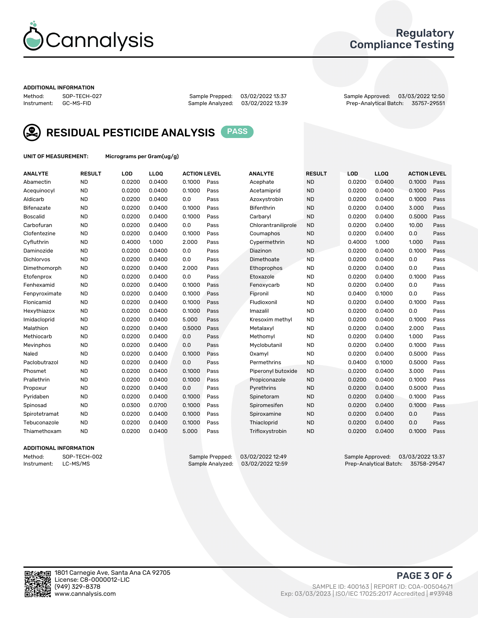

## Regulatory Compliance Testing

#### ADDITIONAL INFORMATION

Sample Analyzed: 03/02/2022 13:39

Method: SOP-TECH-027 Sample Prepped: 03/02/2022 13:37 Sample Approved: 03/03/2022 12:50



RESIDUAL PESTICIDE ANALYSIS PASS

UNIT OF MEASUREMENT: Micrograms per Gram(ug/g)

| <b>ANALYTE</b>    | <b>RESULT</b> | LOD    | LLOQ   | <b>ACTION LEVEL</b> |      | <b>ANALYTE</b>      | <b>RESULT</b> | LOD    | <b>LLOQ</b> | <b>ACTION LEVEL</b> |      |
|-------------------|---------------|--------|--------|---------------------|------|---------------------|---------------|--------|-------------|---------------------|------|
| Abamectin         | <b>ND</b>     | 0.0200 | 0.0400 | 0.1000              | Pass | Acephate            | <b>ND</b>     | 0.0200 | 0.0400      | 0.1000              | Pass |
| Acequinocyl       | <b>ND</b>     | 0.0200 | 0.0400 | 0.1000              | Pass | Acetamiprid         | <b>ND</b>     | 0.0200 | 0.0400      | 0.1000              | Pass |
| Aldicarb          | <b>ND</b>     | 0.0200 | 0.0400 | 0.0                 | Pass | Azoxystrobin        | <b>ND</b>     | 0.0200 | 0.0400      | 0.1000              | Pass |
| Bifenazate        | <b>ND</b>     | 0.0200 | 0.0400 | 0.1000              | Pass | <b>Bifenthrin</b>   | <b>ND</b>     | 0.0200 | 0.0400      | 3.000               | Pass |
| <b>Boscalid</b>   | <b>ND</b>     | 0.0200 | 0.0400 | 0.1000              | Pass | Carbaryl            | <b>ND</b>     | 0.0200 | 0.0400      | 0.5000              | Pass |
| Carbofuran        | <b>ND</b>     | 0.0200 | 0.0400 | 0.0                 | Pass | Chlorantraniliprole | <b>ND</b>     | 0.0200 | 0.0400      | 10.00               | Pass |
| Clofentezine      | <b>ND</b>     | 0.0200 | 0.0400 | 0.1000              | Pass | Coumaphos           | <b>ND</b>     | 0.0200 | 0.0400      | 0.0                 | Pass |
| Cyfluthrin        | <b>ND</b>     | 0.4000 | 1.000  | 2.000               | Pass | Cypermethrin        | <b>ND</b>     | 0.4000 | 1.000       | 1.000               | Pass |
| Daminozide        | <b>ND</b>     | 0.0200 | 0.0400 | 0.0                 | Pass | Diazinon            | <b>ND</b>     | 0.0200 | 0.0400      | 0.1000              | Pass |
| <b>Dichlorvos</b> | <b>ND</b>     | 0.0200 | 0.0400 | 0.0                 | Pass | Dimethoate          | <b>ND</b>     | 0.0200 | 0.0400      | 0.0                 | Pass |
| Dimethomorph      | <b>ND</b>     | 0.0200 | 0.0400 | 2.000               | Pass | <b>Ethoprophos</b>  | <b>ND</b>     | 0.0200 | 0.0400      | 0.0                 | Pass |
| Etofenprox        | <b>ND</b>     | 0.0200 | 0.0400 | 0.0                 | Pass | Etoxazole           | <b>ND</b>     | 0.0200 | 0.0400      | 0.1000              | Pass |
| Fenhexamid        | <b>ND</b>     | 0.0200 | 0.0400 | 0.1000              | Pass | Fenoxycarb          | <b>ND</b>     | 0.0200 | 0.0400      | 0.0                 | Pass |
| Fenpyroximate     | <b>ND</b>     | 0.0200 | 0.0400 | 0.1000              | Pass | Fipronil            | <b>ND</b>     | 0.0400 | 0.1000      | 0.0                 | Pass |
| Flonicamid        | <b>ND</b>     | 0.0200 | 0.0400 | 0.1000              | Pass | Fludioxonil         | <b>ND</b>     | 0.0200 | 0.0400      | 0.1000              | Pass |
| Hexythiazox       | <b>ND</b>     | 0.0200 | 0.0400 | 0.1000              | Pass | Imazalil            | <b>ND</b>     | 0.0200 | 0.0400      | 0.0                 | Pass |
| Imidacloprid      | <b>ND</b>     | 0.0200 | 0.0400 | 5.000               | Pass | Kresoxim methyl     | <b>ND</b>     | 0.0200 | 0.0400      | 0.1000              | Pass |
| Malathion         | <b>ND</b>     | 0.0200 | 0.0400 | 0.5000              | Pass | Metalaxyl           | <b>ND</b>     | 0.0200 | 0.0400      | 2.000               | Pass |
| Methiocarb        | <b>ND</b>     | 0.0200 | 0.0400 | 0.0                 | Pass | Methomyl            | <b>ND</b>     | 0.0200 | 0.0400      | 1.000               | Pass |
| Mevinphos         | <b>ND</b>     | 0.0200 | 0.0400 | 0.0                 | Pass | Myclobutanil        | <b>ND</b>     | 0.0200 | 0.0400      | 0.1000              | Pass |
| Naled             | <b>ND</b>     | 0.0200 | 0.0400 | 0.1000              | Pass | Oxamyl              | <b>ND</b>     | 0.0200 | 0.0400      | 0.5000              | Pass |
| Paclobutrazol     | <b>ND</b>     | 0.0200 | 0.0400 | 0.0                 | Pass | Permethrins         | <b>ND</b>     | 0.0400 | 0.1000      | 0.5000              | Pass |
| Phosmet           | <b>ND</b>     | 0.0200 | 0.0400 | 0.1000              | Pass | Piperonyl butoxide  | <b>ND</b>     | 0.0200 | 0.0400      | 3.000               | Pass |
| Prallethrin       | <b>ND</b>     | 0.0200 | 0.0400 | 0.1000              | Pass | Propiconazole       | <b>ND</b>     | 0.0200 | 0.0400      | 0.1000              | Pass |
| Propoxur          | <b>ND</b>     | 0.0200 | 0.0400 | 0.0                 | Pass | Pyrethrins          | <b>ND</b>     | 0.0200 | 0.0400      | 0.5000              | Pass |
| Pyridaben         | <b>ND</b>     | 0.0200 | 0.0400 | 0.1000              | Pass | Spinetoram          | <b>ND</b>     | 0.0200 | 0.0400      | 0.1000              | Pass |
| Spinosad          | <b>ND</b>     | 0.0300 | 0.0700 | 0.1000              | Pass | Spiromesifen        | <b>ND</b>     | 0.0200 | 0.0400      | 0.1000              | Pass |
| Spirotetramat     | <b>ND</b>     | 0.0200 | 0.0400 | 0.1000              | Pass | Spiroxamine         | <b>ND</b>     | 0.0200 | 0.0400      | 0.0                 | Pass |
| Tebuconazole      | <b>ND</b>     | 0.0200 | 0.0400 | 0.1000              | Pass | Thiacloprid         | <b>ND</b>     | 0.0200 | 0.0400      | 0.0                 | Pass |
| Thiamethoxam      | <b>ND</b>     | 0.0200 | 0.0400 | 5.000               | Pass | Trifloxystrobin     | <b>ND</b>     | 0.0200 | 0.0400      | 0.1000              | Pass |

#### ADDITIONAL INFORMATION

Method: SOP-TECH-002 Sample Prepped: 03/02/2022 12:49 Sample Approved: 03/03/2022 13:37<br>Sample Analyzed: 03/02/2022 12:59 Prep-Analytical Batch: 35758-29547 Prep-Analytical Batch: 35758-29547

PAGE 3 OF 6

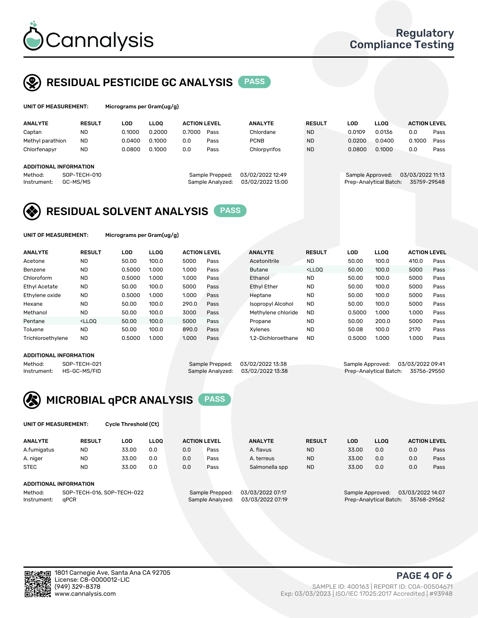

UNIT OF MEASUREMENT: Micrograms per Gram(ug/g)

## RESIDUAL PESTICIDE GC ANALYSIS PASS

| <b>ANALYTE</b>         | <b>RESULT</b> | LOD    | <b>LLOO</b> | <b>ACTION LEVEL</b> |                  | <b>ANALYTE</b>   | <b>RESULT</b> | LOD              | <b>LLOO</b>            | <b>ACTION LEVEL</b> |      |
|------------------------|---------------|--------|-------------|---------------------|------------------|------------------|---------------|------------------|------------------------|---------------------|------|
| Captan                 | <b>ND</b>     | 0.1000 | 0.2000      | 0.7000              | Pass             | Chlordane        | <b>ND</b>     | 0.0109           | 0.0136                 | 0.0                 | Pass |
| Methyl parathion       | <b>ND</b>     | 0.0400 | 0.1000      | 0.0                 | Pass             | <b>PCNB</b>      | <b>ND</b>     | 0.0200           | 0.0400                 | 0.1000              | Pass |
| Chlorfenapyr           | <b>ND</b>     | 0.0800 | 0.1000      | 0.0                 | Pass             | Chlorpyrifos     | <b>ND</b>     | 0.0800           | 0.1000                 | 0.0                 | Pass |
|                        |               |        |             |                     |                  |                  |               |                  |                        |                     |      |
| ADDITIONAL INFORMATION |               |        |             |                     |                  |                  |               |                  |                        |                     |      |
| Method:                | SOP-TECH-010  |        |             |                     | Sample Prepped:  | 03/02/2022 12:49 |               | Sample Approved: |                        | 03/03/2022 11:13    |      |
| Instrument:            | GC-MS/MS      |        |             |                     | Sample Analyzed: | 03/02/2022 13:00 |               |                  | Prep-Analytical Batch: | 35759-29548         |      |

## RESIDUAL SOLVENT ANALYSIS PASS

UNIT OF MEASUREMENT: Micrograms per Gram(ug/g)

| <b>ANALYTE</b>    | <b>RESULT</b>                                                                                                                                                       | LOD    | <b>LLOO</b> | <b>ACTION LEVEL</b> |      | <b>ANALYTE</b>           | <b>RESULT</b>                                                               | <b>LOD</b> | <b>LLOO</b> | <b>ACTION LEVEL</b> |      |
|-------------------|---------------------------------------------------------------------------------------------------------------------------------------------------------------------|--------|-------------|---------------------|------|--------------------------|-----------------------------------------------------------------------------|------------|-------------|---------------------|------|
| Acetone           | <b>ND</b>                                                                                                                                                           | 50.00  | 100.0       | 5000                | Pass | Acetonitrile             | <b>ND</b>                                                                   | 50.00      | 100.0       | 410.0               | Pass |
| Benzene           | <b>ND</b>                                                                                                                                                           | 0.5000 | 1.000       | 1.000               | Pass | <b>Butane</b>            | <lloo< td=""><td>50.00</td><td>100.0</td><td>5000</td><td>Pass</td></lloo<> | 50.00      | 100.0       | 5000                | Pass |
| Chloroform        | <b>ND</b>                                                                                                                                                           | 0.5000 | 1.000       | 1.000               | Pass | Ethanol                  | <b>ND</b>                                                                   | 50.00      | 100.0       | 5000                | Pass |
| Ethyl Acetate     | <b>ND</b>                                                                                                                                                           | 50.00  | 100.0       | 5000                | Pass | <b>Ethyl Ether</b>       | <b>ND</b>                                                                   | 50.00      | 100.0       | 5000                | Pass |
| Ethylene oxide    | <b>ND</b>                                                                                                                                                           | 0.5000 | 1.000       | 1.000               | Pass | Heptane                  | <b>ND</b>                                                                   | 50.00      | 100.0       | 5000                | Pass |
| Hexane            | <b>ND</b>                                                                                                                                                           | 50.00  | 100.0       | 290.0               | Pass | <b>Isopropyl Alcohol</b> | <b>ND</b>                                                                   | 50.00      | 100.0       | 5000                | Pass |
| Methanol          | <b>ND</b>                                                                                                                                                           | 50.00  | 100.0       | 3000                | Pass | Methylene chloride       | <b>ND</b>                                                                   | 0.5000     | 1.000       | 1.000               | Pass |
| Pentane           | <lloo< td=""><td>50.00</td><td>100.0</td><td>5000</td><td>Pass</td><td>Propane</td><td><b>ND</b></td><td>50.00</td><td>200.0</td><td>5000</td><td>Pass</td></lloo<> | 50.00  | 100.0       | 5000                | Pass | Propane                  | <b>ND</b>                                                                   | 50.00      | 200.0       | 5000                | Pass |
| Toluene           | <b>ND</b>                                                                                                                                                           | 50.00  | 100.0       | 890.0               | Pass | Xvlenes                  | <b>ND</b>                                                                   | 50.08      | 100.0       | 2170                | Pass |
| Trichloroethylene | <b>ND</b>                                                                                                                                                           | 0.5000 | 1.000       | 1.000               | Pass | 1.2-Dichloroethane       | <b>ND</b>                                                                   | 0.5000     | 1.000       | 1.000               | Pass |
|                   |                                                                                                                                                                     |        |             |                     |      |                          |                                                                             |            |             |                     |      |

#### ADDITIONAL INFORMATION

Method: SOP-TECH-021 Sample Prepped: 03/02/2022 13:38 Sample Approved: 03/03/2022 13:38<br>Sample Analyzed: 03/02/2022 13:38 Prep-Analytical Batch: 35756-29550 Prep-Analytical Batch: 35756-29550



UNIT OF MEASUREMENT: Cycle Threshold (Ct)

| <b>ANALYTE</b>      | <b>RESULT</b>              | LOD   | <b>LLOO</b>      |                  | <b>ACTION LEVEL</b> | <b>ANALYTE</b>                        | <b>RESULT</b> | LOD                                  | <b>LLOO</b> |     | <b>ACTION LEVEL</b> |
|---------------------|----------------------------|-------|------------------|------------------|---------------------|---------------------------------------|---------------|--------------------------------------|-------------|-----|---------------------|
| A.fumigatus         | <b>ND</b>                  | 33.00 | 0.0              | 0.0              | Pass                | A. flavus                             | <b>ND</b>     | 33.00                                | 0.0         | 0.0 | Pass                |
| A. niger            | <b>ND</b>                  | 33.00 | 0.0              | 0.0              | Pass                | A. terreus                            | <b>ND</b>     | 33.00                                | 0.0         | 0.0 | Pass                |
| <b>STEC</b>         | <b>ND</b>                  | 33.00 | 0.0              | 0.0              | Pass                | Salmonella spp                        | <b>ND</b>     | 33.00                                | 0.0         | 0.0 | Pass                |
|                     | ADDITIONAL INFORMATION     |       |                  |                  |                     |                                       |               |                                      |             |     |                     |
| Method:             | SOP-TECH-016, SOP-TECH-022 |       |                  |                  | Sample Prepped:     | 03/03/2022 07:17                      |               | 03/03/2022 14:07<br>Sample Approved: |             |     |                     |
| aPCR<br>Instrument: |                            |       | Sample Analyzed: | 03/03/2022 07:19 |                     | Prep-Analytical Batch:<br>35768-29562 |               |                                      |             |     |                     |

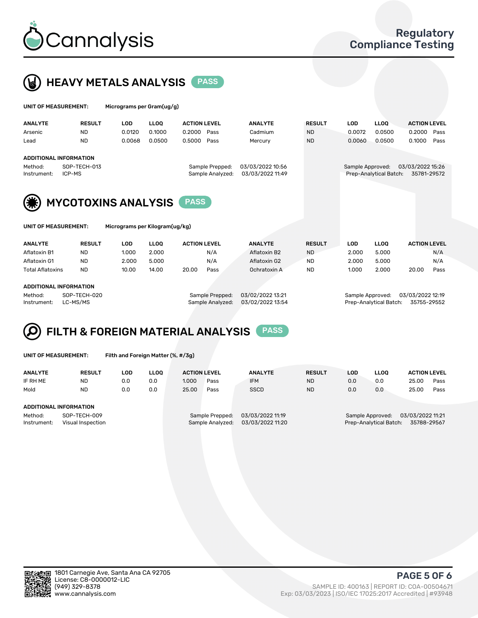



| UNIT OF MEASUREMENT: |                               | Micrograms per Gram(ug/g) |             |                     |                  |               |                  |                        |                     |      |
|----------------------|-------------------------------|---------------------------|-------------|---------------------|------------------|---------------|------------------|------------------------|---------------------|------|
| <b>ANALYTE</b>       | <b>RESULT</b>                 | <b>LOD</b>                | <b>LLOO</b> | <b>ACTION LEVEL</b> | <b>ANALYTE</b>   | <b>RESULT</b> | LOD.             | <b>LLOO</b>            | <b>ACTION LEVEL</b> |      |
| Arsenic              | <b>ND</b>                     | 0.0120                    | 0.1000      | 0.2000<br>Pass      | Cadmium          | <b>ND</b>     | 0.0072           | 0.0500                 | 0.2000              | Pass |
| Lead                 | <b>ND</b>                     | 0.0068                    | 0.0500      | 0.5000<br>Pass      | Mercury          | <b>ND</b>     | 0.0060           | 0.0500                 | 0.1000              | Pass |
|                      | <b>ADDITIONAL INFORMATION</b> |                           |             |                     |                  |               |                  |                        |                     |      |
| Method:              | SOP-TECH-013                  |                           |             | Sample Prepped:     | 03/03/2022 10:56 |               | Sample Approved: |                        | 03/03/2022 15:26    |      |
| Instrument:          | ICP-MS                        |                           |             | Sample Analyzed:    | 03/03/2022 11:49 |               |                  | Prep-Analytical Batch: | 35781-29572         |      |
| 7. <b>.</b>          |                               |                           |             |                     |                  |               |                  |                        |                     |      |



| <b>UNITURISONLITENT.</b> | rı |
|--------------------------|----|
|                          |    |
|                          |    |
|                          |    |

| UNIT OF MEASUREMENT: | Micrograms per Kilogram(ug/kg) |
|----------------------|--------------------------------|
|----------------------|--------------------------------|

| <b>ANALYTE</b>          | <b>RESULT</b> | LOD   | <b>LLOO</b> | <b>ACTION LEVEL</b> | <b>ANALYTE</b> | <b>RESULT</b> | LOD   | <b>LLOO</b> | <b>ACTION LEVEL</b> |      |
|-------------------------|---------------|-------|-------------|---------------------|----------------|---------------|-------|-------------|---------------------|------|
| Aflatoxin B1            | <b>ND</b>     | 1.000 | 2.000       | N/A                 | Aflatoxin B2   | <b>ND</b>     | 2.000 | 5.000       |                     | N/A  |
| Aflatoxin G1            | <b>ND</b>     | 2.000 | 5.000       | N/A                 | Aflatoxin G2   | <b>ND</b>     | 2.000 | 5.000       |                     | N/A  |
| <b>Total Aflatoxins</b> | <b>ND</b>     | 10.00 | 14.00       | 20.00<br>Pass       | Ochratoxin A   | <b>ND</b>     | 1.000 | 2.000       | 20.00               | Pass |
|                         |               |       |             |                     |                |               |       |             |                     |      |
| ADDITIONAL INFODMATION  |               |       |             |                     |                |               |       |             |                     |      |

#### ADDITIONAL INFORMATION

| beu: | <u>US/UZ/ZUZZ 15:Z1</u> |
|------|-------------------------|
| zed: | 03/02/2022 13:54        |

Method: SOP-TECH-020 Sample Prepped: 03/02/2022 13:21 Sample Approved: 03/03/2022 12:19 Instrument: LC-MS/MS Sample Analyzed: 03/02/2022 13:54 Prep-Analytical Batch: 35755-29552

# FILTH & FOREIGN MATERIAL ANALYSIS PASS

UNIT OF MEASUREMENT: Filth and Foreign Matter (%, #/3g)

| <b>ANALYTE</b>                                              | <b>RESULT</b> | LOD | <b>LLOO</b> | <b>ACTION LEVEL</b> |                                     | <b>ANALYTE</b>                       | <b>RESULT</b> | LOD | <b>LLOO</b>                                | <b>ACTION LEVEL</b>             |      |
|-------------------------------------------------------------|---------------|-----|-------------|---------------------|-------------------------------------|--------------------------------------|---------------|-----|--------------------------------------------|---------------------------------|------|
| IF RH ME                                                    | <b>ND</b>     | 0.0 | 0.0         | 1.000               | Pass                                | <b>IFM</b>                           | <b>ND</b>     | 0.0 | 0.0                                        | 25.00                           | Pass |
| Mold                                                        | <b>ND</b>     | 0.0 | 0.0         | 25.00               | Pass                                | <b>SSCD</b>                          | <b>ND</b>     | 0.0 | 0.0                                        | 25.00                           | Pass |
| ADDITIONAL INFORMATION                                      |               |     |             |                     |                                     |                                      |               |     |                                            |                                 |      |
| SOP-TECH-009<br>Method:<br>Instrument:<br>Visual Inspection |               |     |             |                     | Sample Prepped:<br>Sample Analyzed: | 03/03/2022 11:19<br>03/03/2022 11:20 |               |     | Sample Approved:<br>Prep-Analytical Batch: | 03/03/2022 11:21<br>35788-29567 |      |



PAGE 5 OF 6